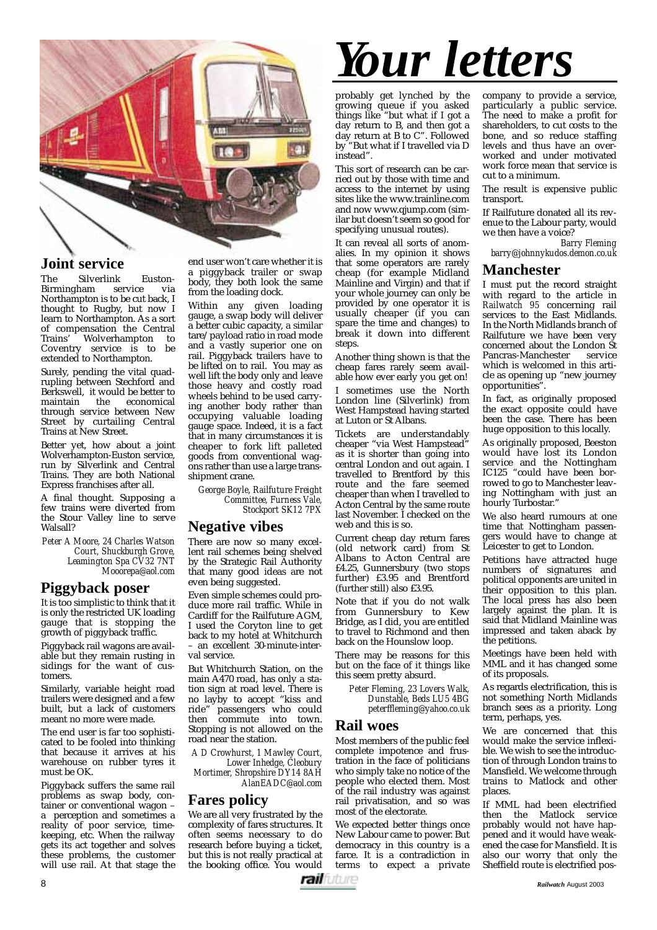

# **Joint service**

The Silverlink Euston-Birmingham Northampton is to be cut back, I thought to Rugby, but now I learn to Northampton. As a sort of compensation the Central Trains' Wolverhampton to Coventry service is to be extended to Northampton.

Surely, pending the vital quadrupling between Stechford and Berkswell, it would be better to<br>maintain the economical economical through service between New Street by curtailing Central Trains at New Street.

Better yet, how about a joint Wolverhampton-Euston service, run by Silverlink and Central Trains. They are both National Express franchises after all.

A final thought. Supposing a few trains were diverted from the Stour Valley line to serve Walsall?

*Peter A Moore, 24 Charles Watson Court, Shuckburgh Grove, Leamington Spa CV32 7NT Mooorepa@aol.com*

## **Piggyback poser**

It is too simplistic to think that it is only the restricted UK loading gauge that is stopping the growth of piggyback traffic.

Piggyback rail wagons are available but they remain rusting in sidings for the want of customers.

Similarly, variable height road trailers were designed and a few built, but a lack of customers meant no more were made.

The end user is far too sophisticated to be fooled into thinking that because it arrives at his warehouse on rubber tyres it must be OK.

Piggyback suffers the same rail problems as swap body, container or conventional wagon – a perception and sometimes a reality of poor service, timekeeping, etc. When the railway gets its act together and solves these problems, the customer will use rail. At that stage the

end user won't care whether it is a piggyback trailer or swap body, they both look the same from the loading dock.

Within any given loading gauge, a swap body will deliver a better cubic capacity, a similar tare/payload ratio in road mode and a vastly superior one on rail. Piggyback trailers have to be lifted on to rail. You may as well lift the body only and leave those heavy and costly road wheels behind to be used carrying another body rather than occupying valuable loading gauge space. Indeed, it is a fact that in many circumstances it is cheaper to fork lift palleted goods from conventional wagons rather than use a large transshipment crane.

*George Boyle, Railfuture Freight Committee, Furness Vale, Stockport SK12 7PX*

#### **Negative vibes**

There are now so many excellent rail schemes being shelved by the Strategic Rail Authority that many good ideas are not even being suggested.

Even simple schemes could produce more rail traffic. While in Cardiff for the Railfuture AGM, I used the Coryton line to get back to my hotel at Whitchurch – an excellent 30-minute-interval service.

But Whitchurch Station, on the main A470 road, has only a station sign at road level. There is no layby to accept "kiss and ride" passengers who could then commute into town. Stopping is not allowed on the road near the station.

*A D Crowhurst, 1 Mawley Court, Lower Inhedge, Cleobury Mortimer, Shropshire DY14 8AH AlanEADC@aol.com*

#### **Fares policy**

We are all very frustrated by the complexity of fares structures. It often seems necessary to do research before buying a ticket, but this is not really practical at the booking office. You would



probably get lynched by the growing queue if you asked things like "but what if I got a day return to B, and then got a day return at B to C". Followed by "But what if I travelled via D instead".

This sort of research can be carried out by those with time and access to the internet by using sites like the www.trainline.com and now www.qjump.com (similar but doesn't seem so good for specifying unusual routes).

It can reveal all sorts of anomalies. In my opinion it shows that some operators are rarely cheap (for example Midland Mainline and Virgin) and that if your whole journey can only be provided by one operator it is usually cheaper (if you can spare the time and changes) to break it down into different steps.

Another thing shown is that the cheap fares rarely seem available how ever early you get on! I sometimes use the North London line (Silverlink) from West Hampstead having started at Luton or St Albans.

Tickets are understandably cheaper "via West Hampstead" as it is shorter than going into central London and out again. I travelled to Brentford by this route and the fare seemed cheaper than when I travelled to Acton Central by the same route last November. I checked on the web and this is so.

Current cheap day return fares (old network card) from St Albans to Acton Central are £4.25, Gunnersbury (two stops further) £3.95 and Brentford (further still) also £3.95.

Note that if you do not walk from Gunnersbury to Kew Bridge, as I did, you are entitled to travel to Richmond and then back on the Hounslow loop.

There may be reasons for this but on the face of it things like this seem pretty absurd.

> *Peter Fleming, 23 Lovers Walk, Dunstable, Beds LU5 4BG peterffleming@yahoo.co.uk*

#### **Rail woes**

Most members of the public feel complete impotence and frustration in the face of politicians who simply take no notice of the people who elected them. Most of the rail industry was against rail privatisation, and so was most of the electorate.

We expected better things once New Labour came to power. But democracy in this country is a farce. It is a contradiction in terms to expect a private

company to provide a service, particularly a public service. The need to make a profit for shareholders, to cut costs to the bone, and so reduce staffing levels and thus have an overworked and under motivated work force mean that service is cut to a minimum.

The result is expensive public transport.

If Railfuture donated all its revenue to the Labour party, would we then have a voice?

*Barry Fleming barry@johnnykudos.demon.co.uk*

#### **Manchester**

I must put the record straight with regard to the article in *Railwatch 95* concerning rail services to the East Midlands. In the North Midlands branch of Railfuture we have been very concerned about the London St<br>Pancras-Manchester service Pancras-Manchester which is welcomed in this article as opening up "new journey opportunities".

In fact, as originally proposed the exact opposite could have been the case. There has been huge opposition to this locally.

As originally proposed, Beeston would have lost its London service and the Nottingham IC125 "could have been borrowed to go to Manchester leaving Nottingham with just an hourly Turbostar.'

We also heard rumours at one time that Nottingham passengers would have to change at Leicester to get to London.

Petitions have attracted huge numbers of signatures and political opponents are united in their opposition to this plan. The local press has also been largely against the plan. It is said that Midland Mainline was impressed and taken aback by the petitions.

Meetings have been held with MML and it has changed some of its proposals.

As regards electrification, this is not something North Midlands branch sees as a priority. Long term, perhaps, yes.

We are concerned that this would make the service inflexible. We wish to see the introduction of through London trains to Mansfield. We welcome through trains to Matlock and other places.

If MML had been electrified then the Matlock service probably would not have happened and it would have weakened the case for Mansfield. It is also our worry that only the Sheffield route is electrified pos-